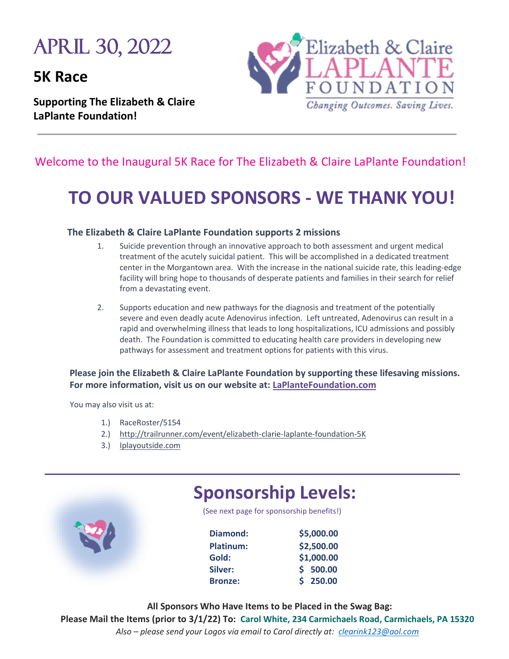# April 30, 2022

**5K Race** 

**Supporting The Elizabeth & Claire LaPlante Foundation!** 



# Welcome to the Inaugural 5K Race for The Elizabeth & Claire LaPlante Foundation!

# **TO OUR VALUED SPONSORS - WE THANK YOU!**

# **The Elizabeth & Claire LaPlante Foundation supports 2 missions**

- 1. Suicide prevention through an innovative approach to both assessment and urgent medical treatment of the acutely suicidal patient. This will be accomplished in a dedicated treatment center in the Morgantown area. With the increase in the national suicide rate, this leading-edge facility will bring hope to thousands of desperate patients and families in their search for relief from a devastating event.
- 2. Supports education and new pathways for the diagnosis and treatment of the potentially severe and even deadly acute Adenovirus infection. Left untreated, Adenovirus can result in a rapid and overwhelming illness that leads to long hospitalizations, ICU admissions and possibly death. The Foundation is committed to educating health care providers in developing new pathways for assessment and treatment options for patients with this virus.

# **Please join the Elizabeth & Claire LaPlante Foundation by supporting these lifesaving missions. For more information, visit us on our website at: LaPlanteFoundation.com**

You may also visit us at:

- 1.) RaceRoster/5154
- 2.) <http://trailrunner.com/event/elizabeth-clarie-laplante-foundation-5K>
- 3.) Iplayoutside.com



 **All Sponsors Who Have Items to be Placed in the Swag Bag: Please Mail the Items (prior to 3/1/22) To: Carol White, 234 Carmichaels Road, Carmichaels, PA 15320** *Also – please send your Logos via email to Carol directly at: [clearink123@aol.com](mailto:clearink123@aol.com)*